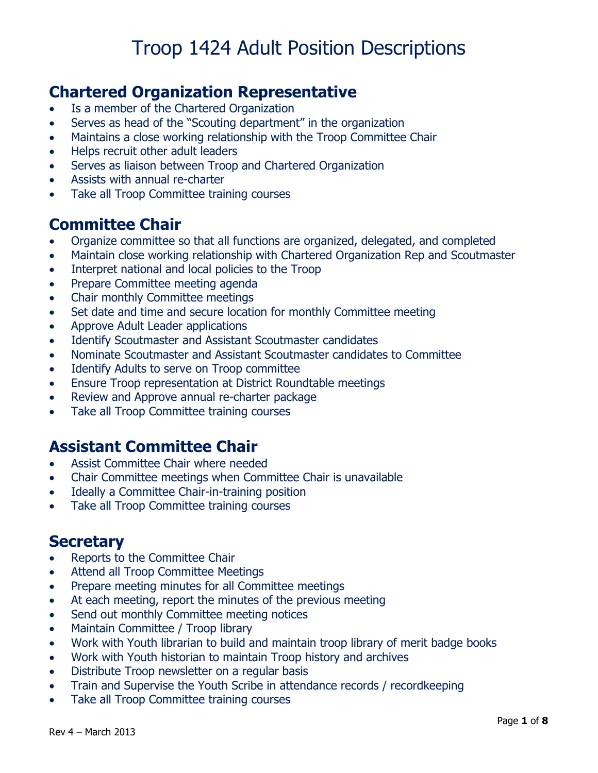### **Chartered Organization Representative**

- Is a member of the Chartered Organization
- Serves as head of the "Scouting department" in the organization
- Maintains a close working relationship with the Troop Committee Chair
- Helps recruit other adult leaders
- Serves as liaison between Troop and Chartered Organization
- Assists with annual re-charter
- Take all Troop Committee training courses

## **Committee Chair**

- Organize committee so that all functions are organized, delegated, and completed
- Maintain close working relationship with Chartered Organization Rep and Scoutmaster
- Interpret national and local policies to the Troop
- Prepare Committee meeting agenda
- Chair monthly Committee meetings
- Set date and time and secure location for monthly Committee meeting
- Approve Adult Leader applications
- Identify Scoutmaster and Assistant Scoutmaster candidates
- Nominate Scoutmaster and Assistant Scoutmaster candidates to Committee
- Identify Adults to serve on Troop committee
- Ensure Troop representation at District Roundtable meetings
- Review and Approve annual re-charter package
- Take all Troop Committee training courses

### **Assistant Committee Chair**

- Assist Committee Chair where needed
- Chair Committee meetings when Committee Chair is unavailable
- Ideally a Committee Chair-in-training position
- Take all Troop Committee training courses

### **Secretary**

- Reports to the Committee Chair
- Attend all Troop Committee Meetings
- Prepare meeting minutes for all Committee meetings
- At each meeting, report the minutes of the previous meeting
- Send out monthly Committee meeting notices
- Maintain Committee / Troop library
- Work with Youth librarian to build and maintain troop library of merit badge books
- Work with Youth historian to maintain Troop history and archives
- Distribute Troop newsletter on a regular basis
- Train and Supervise the Youth Scribe in attendance records / recordkeeping
- Take all Troop Committee training courses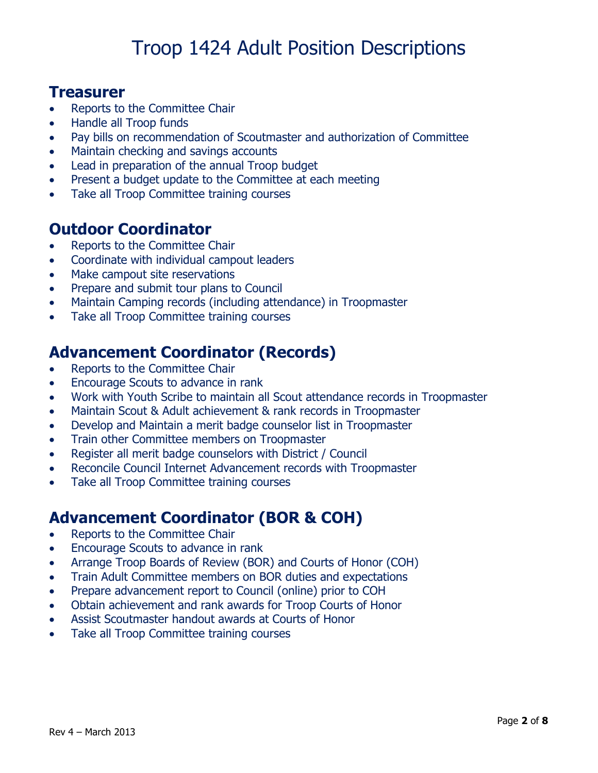#### **Treasurer**

- Reports to the Committee Chair
- Handle all Troop funds
- Pay bills on recommendation of Scoutmaster and authorization of Committee
- Maintain checking and savings accounts
- Lead in preparation of the annual Troop budget
- Present a budget update to the Committee at each meeting
- Take all Troop Committee training courses

### **Outdoor Coordinator**

- Reports to the Committee Chair
- Coordinate with individual campout leaders
- Make campout site reservations
- Prepare and submit tour plans to Council
- Maintain Camping records (including attendance) in Troopmaster
- Take all Troop Committee training courses

### **Advancement Coordinator (Records)**

- Reports to the Committee Chair
- Encourage Scouts to advance in rank
- Work with Youth Scribe to maintain all Scout attendance records in Troopmaster
- Maintain Scout & Adult achievement & rank records in Troopmaster
- Develop and Maintain a merit badge counselor list in Troopmaster
- Train other Committee members on Troopmaster
- Register all merit badge counselors with District / Council
- Reconcile Council Internet Advancement records with Troopmaster
- Take all Troop Committee training courses

### **Advancement Coordinator (BOR & COH)**

- Reports to the Committee Chair
- Encourage Scouts to advance in rank
- Arrange Troop Boards of Review (BOR) and Courts of Honor (COH)
- Train Adult Committee members on BOR duties and expectations
- Prepare advancement report to Council (online) prior to COH
- Obtain achievement and rank awards for Troop Courts of Honor
- Assist Scoutmaster handout awards at Courts of Honor
- Take all Troop Committee training courses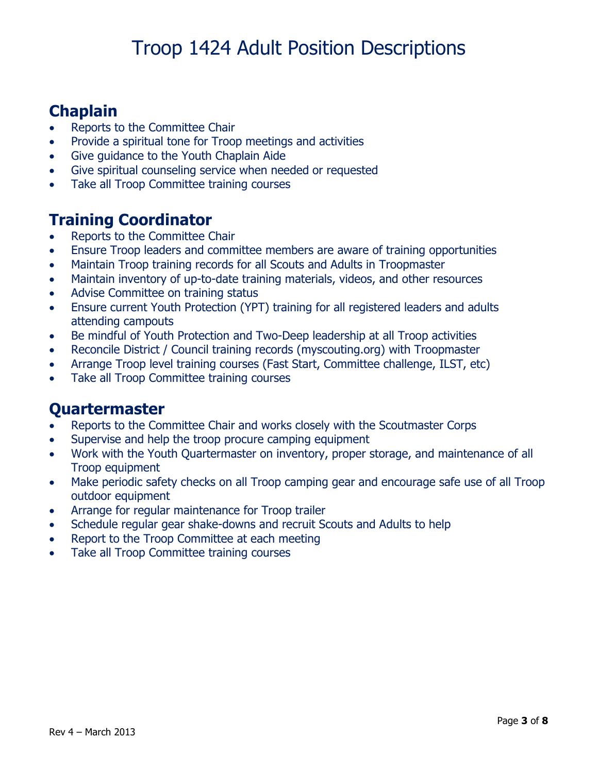## **Chaplain**

- Reports to the Committee Chair
- Provide a spiritual tone for Troop meetings and activities
- Give guidance to the Youth Chaplain Aide
- Give spiritual counseling service when needed or requested
- Take all Troop Committee training courses

### **Training Coordinator**

- Reports to the Committee Chair
- Ensure Troop leaders and committee members are aware of training opportunities
- Maintain Troop training records for all Scouts and Adults in Troopmaster
- Maintain inventory of up-to-date training materials, videos, and other resources
- Advise Committee on training status
- Ensure current Youth Protection (YPT) training for all registered leaders and adults attending campouts
- Be mindful of Youth Protection and Two-Deep leadership at all Troop activities
- Reconcile District / Council training records (myscouting.org) with Troopmaster
- Arrange Troop level training courses (Fast Start, Committee challenge, ILST, etc)
- Take all Troop Committee training courses

### **Quartermaster**

- Reports to the Committee Chair and works closely with the Scoutmaster Corps
- Supervise and help the troop procure camping equipment
- Work with the Youth Quartermaster on inventory, proper storage, and maintenance of all Troop equipment
- Make periodic safety checks on all Troop camping gear and encourage safe use of all Troop outdoor equipment
- Arrange for regular maintenance for Troop trailer
- Schedule regular gear shake-downs and recruit Scouts and Adults to help
- Report to the Troop Committee at each meeting
- Take all Troop Committee training courses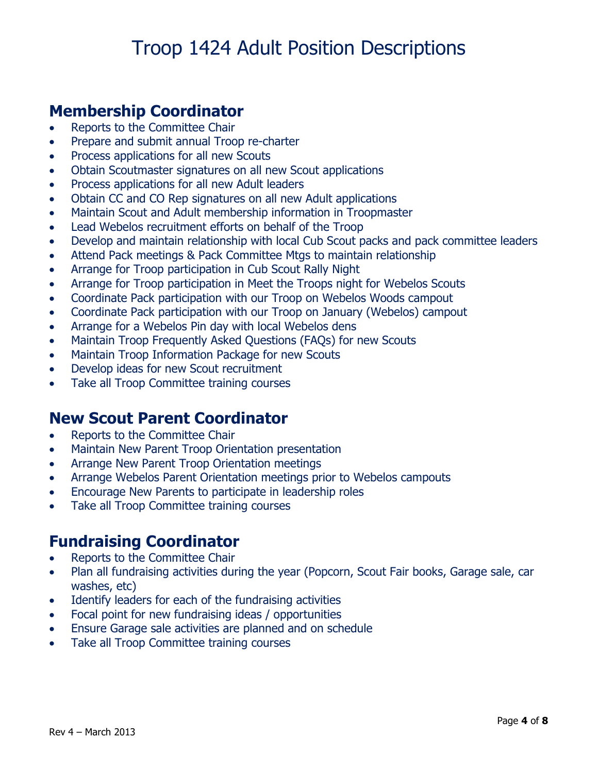### **Membership Coordinator**

- Reports to the Committee Chair
- Prepare and submit annual Troop re-charter
- Process applications for all new Scouts
- Obtain Scoutmaster signatures on all new Scout applications
- Process applications for all new Adult leaders
- Obtain CC and CO Rep signatures on all new Adult applications
- Maintain Scout and Adult membership information in Troopmaster
- Lead Webelos recruitment efforts on behalf of the Troop
- Develop and maintain relationship with local Cub Scout packs and pack committee leaders
- Attend Pack meetings & Pack Committee Mtgs to maintain relationship
- Arrange for Troop participation in Cub Scout Rally Night
- Arrange for Troop participation in Meet the Troops night for Webelos Scouts
- Coordinate Pack participation with our Troop on Webelos Woods campout
- Coordinate Pack participation with our Troop on January (Webelos) campout
- Arrange for a Webelos Pin day with local Webelos dens
- Maintain Troop Frequently Asked Questions (FAQs) for new Scouts
- Maintain Troop Information Package for new Scouts
- Develop ideas for new Scout recruitment
- Take all Troop Committee training courses

#### **New Scout Parent Coordinator**

- Reports to the Committee Chair
- Maintain New Parent Troop Orientation presentation
- Arrange New Parent Troop Orientation meetings
- Arrange Webelos Parent Orientation meetings prior to Webelos campouts
- Encourage New Parents to participate in leadership roles
- Take all Troop Committee training courses

### **Fundraising Coordinator**

- Reports to the Committee Chair
- Plan all fundraising activities during the year (Popcorn, Scout Fair books, Garage sale, car washes, etc)
- Identify leaders for each of the fundraising activities
- Focal point for new fundraising ideas / opportunities
- Ensure Garage sale activities are planned and on schedule
- Take all Troop Committee training courses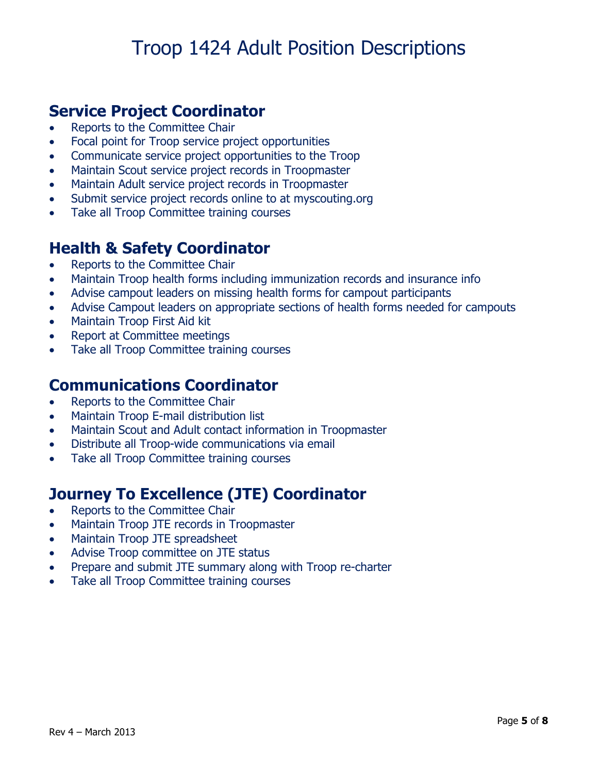## **Service Project Coordinator**

- Reports to the Committee Chair
- Focal point for Troop service project opportunities
- Communicate service project opportunities to the Troop
- Maintain Scout service project records in Troopmaster
- Maintain Adult service project records in Troopmaster
- Submit service project records online to at myscouting.org
- Take all Troop Committee training courses

### **Health & Safety Coordinator**

- Reports to the Committee Chair
- Maintain Troop health forms including immunization records and insurance info
- Advise campout leaders on missing health forms for campout participants
- Advise Campout leaders on appropriate sections of health forms needed for campouts
- Maintain Troop First Aid kit
- Report at Committee meetings
- Take all Troop Committee training courses

#### **Communications Coordinator**

- Reports to the Committee Chair
- Maintain Troop E-mail distribution list
- Maintain Scout and Adult contact information in Troopmaster
- Distribute all Troop-wide communications via email
- Take all Troop Committee training courses

### **Journey To Excellence (JTE) Coordinator**

- Reports to the Committee Chair
- Maintain Troop JTE records in Troopmaster
- Maintain Troop JTE spreadsheet
- Advise Troop committee on JTE status
- Prepare and submit JTE summary along with Troop re-charter
- Take all Troop Committee training courses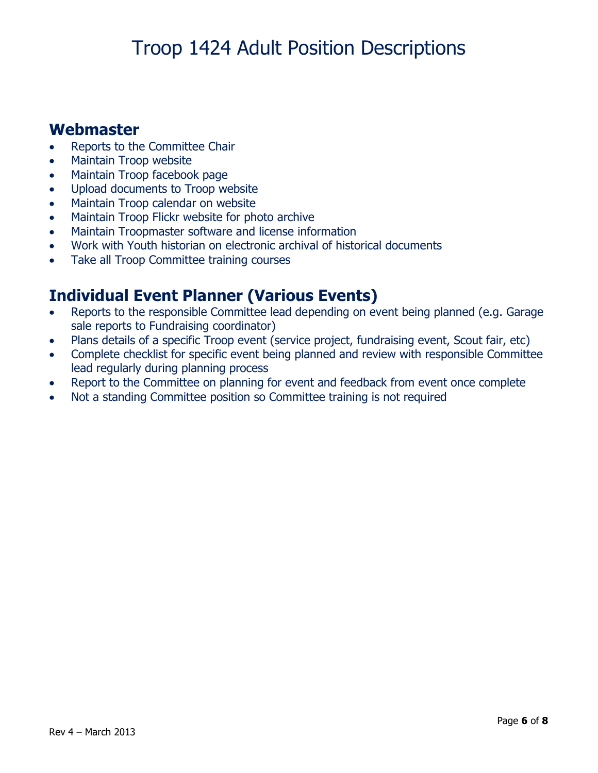#### **Webmaster**

- Reports to the Committee Chair
- Maintain Troop website
- Maintain Troop facebook page
- Upload documents to Troop website
- Maintain Troop calendar on website
- Maintain Troop Flickr website for photo archive
- Maintain Troopmaster software and license information
- Work with Youth historian on electronic archival of historical documents
- Take all Troop Committee training courses

### **Individual Event Planner (Various Events)**

- Reports to the responsible Committee lead depending on event being planned (e.g. Garage sale reports to Fundraising coordinator)
- Plans details of a specific Troop event (service project, fundraising event, Scout fair, etc)
- Complete checklist for specific event being planned and review with responsible Committee lead regularly during planning process
- Report to the Committee on planning for event and feedback from event once complete
- Not a standing Committee position so Committee training is not required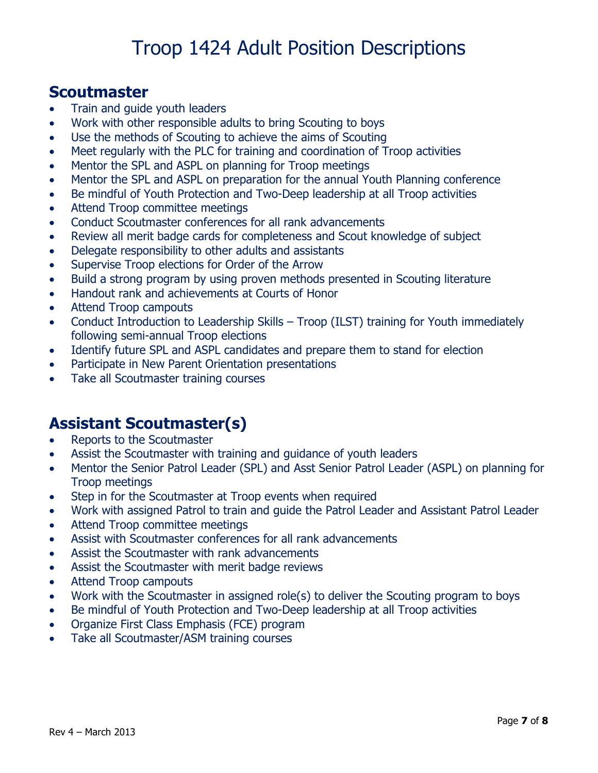#### **Scoutmaster**

- Train and quide youth leaders
- Work with other responsible adults to bring Scouting to boys
- Use the methods of Scouting to achieve the aims of Scouting
- Meet regularly with the PLC for training and coordination of Troop activities
- Mentor the SPL and ASPL on planning for Troop meetings
- Mentor the SPL and ASPL on preparation for the annual Youth Planning conference
- Be mindful of Youth Protection and Two-Deep leadership at all Troop activities
- Attend Troop committee meetings
- Conduct Scoutmaster conferences for all rank advancements
- Review all merit badge cards for completeness and Scout knowledge of subject
- Delegate responsibility to other adults and assistants
- Supervise Troop elections for Order of the Arrow
- Build a strong program by using proven methods presented in Scouting literature
- Handout rank and achievements at Courts of Honor
- Attend Troop campouts
- Conduct Introduction to Leadership Skills Troop (ILST) training for Youth immediately following semi-annual Troop elections
- Identify future SPL and ASPL candidates and prepare them to stand for election
- Participate in New Parent Orientation presentations
- Take all Scoutmaster training courses

### **Assistant Scoutmaster(s)**

- Reports to the Scoutmaster
- Assist the Scoutmaster with training and guidance of youth leaders
- Mentor the Senior Patrol Leader (SPL) and Asst Senior Patrol Leader (ASPL) on planning for Troop meetings
- Step in for the Scoutmaster at Troop events when required
- Work with assigned Patrol to train and guide the Patrol Leader and Assistant Patrol Leader
- Attend Troop committee meetings
- Assist with Scoutmaster conferences for all rank advancements
- Assist the Scoutmaster with rank advancements
- Assist the Scoutmaster with merit badge reviews
- Attend Troop campouts
- Work with the Scoutmaster in assigned role(s) to deliver the Scouting program to boys
- Be mindful of Youth Protection and Two-Deep leadership at all Troop activities
- Organize First Class Emphasis (FCE) program
- Take all Scoutmaster/ASM training courses